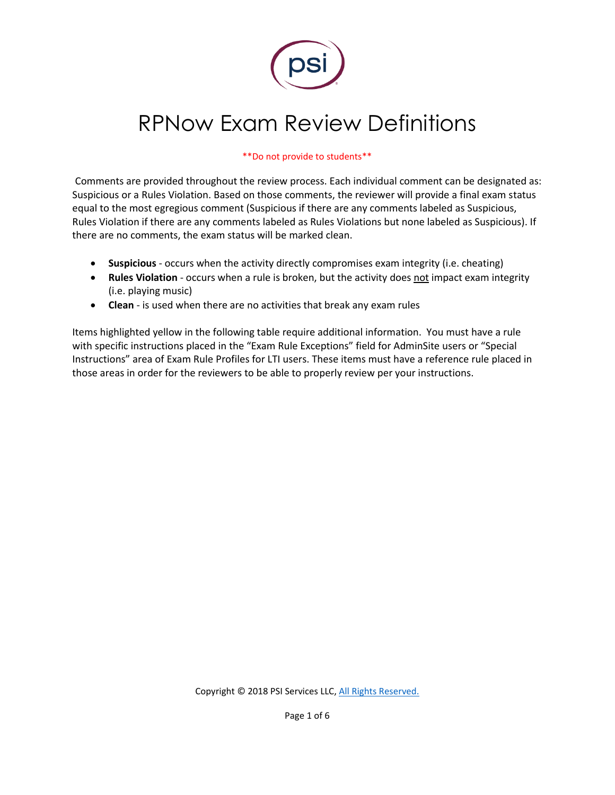

# RPNow Exam Review Definitions

#### \*\*Do not provide to students\*\*

Comments are provided throughout the review process. Each individual comment can be designated as: Suspicious or a Rules Violation. Based on those comments, the reviewer will provide a final exam status equal to the most egregious comment (Suspicious if there are any comments labeled as Suspicious, Rules Violation if there are any comments labeled as Rules Violations but none labeled as Suspicious). If there are no comments, the exam status will be marked clean.

- **Suspicious**  occurs when the activity directly compromises exam integrity (i.e. cheating)
- **Rules Violation** occurs when a rule is broken, but the activity does not impact exam integrity (i.e. playing music)
- **Clean** is used when there are no activities that break any exam rules

Items highlighted yellow in the following table require additional information. You must have a rule with specific instructions placed in the "Exam Rule Exceptions" field for AdminSite users or "Special Instructions" area of Exam Rule Profiles for LTI users. These items must have a reference rule placed in those areas in order for the reviewers to be able to properly review per your instructions.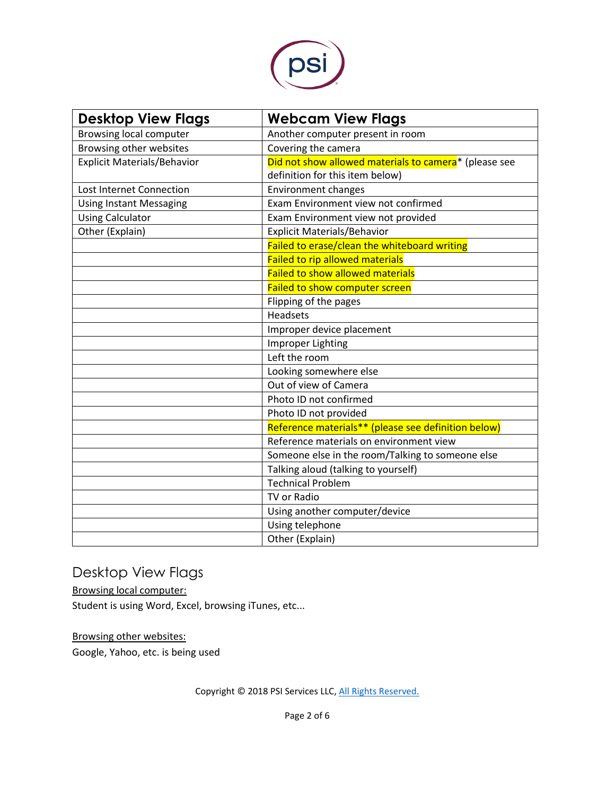

| <b>Desktop View Flags</b>          | <b>Webcam View Flags</b>                              |
|------------------------------------|-------------------------------------------------------|
| <b>Browsing local computer</b>     | Another computer present in room                      |
| Browsing other websites            | Covering the camera                                   |
| <b>Explicit Materials/Behavior</b> | Did not show allowed materials to camera* (please see |
|                                    | definition for this item below)                       |
| Lost Internet Connection           | <b>Environment changes</b>                            |
| <b>Using Instant Messaging</b>     | Exam Environment view not confirmed                   |
| <b>Using Calculator</b>            | Exam Environment view not provided                    |
| Other (Explain)                    | Explicit Materials/Behavior                           |
|                                    | Failed to erase/clean the whiteboard writing          |
|                                    | Failed to rip allowed materials                       |
|                                    | <b>Failed to show allowed materials</b>               |
|                                    | Failed to show computer screen                        |
|                                    | Flipping of the pages                                 |
|                                    | <b>Headsets</b>                                       |
|                                    | Improper device placement                             |
|                                    | <b>Improper Lighting</b>                              |
|                                    | Left the room                                         |
|                                    | Looking somewhere else                                |
|                                    | Out of view of Camera                                 |
|                                    | Photo ID not confirmed                                |
|                                    | Photo ID not provided                                 |
|                                    | Reference materials** (please see definition below)   |
|                                    | Reference materials on environment view               |
|                                    | Someone else in the room/Talking to someone else      |
|                                    | Talking aloud (talking to yourself)                   |
|                                    | <b>Technical Problem</b>                              |
|                                    | TV or Radio                                           |
|                                    | Using another computer/device                         |
|                                    | Using telephone                                       |
|                                    | Other (Explain)                                       |

## Desktop View Flags

Browsing local computer: Student is using Word, Excel, browsing iTunes, etc...

Browsing other websites:

Google, Yahoo, etc. is being used

Copyright © 2018 PSI Services LLC, [All Rights Reserved.](http://www.softwaresecure.com/privacy-statement/)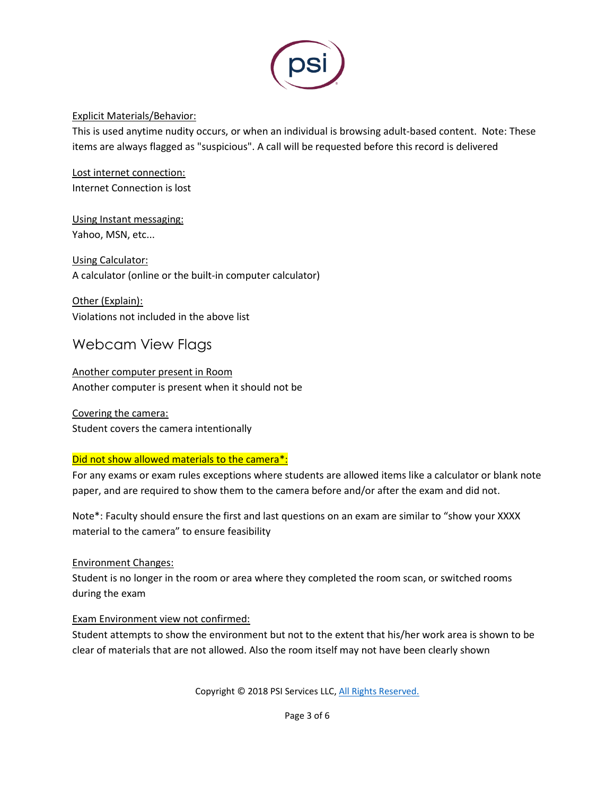

#### Explicit Materials/Behavior:

This is used anytime nudity occurs, or when an individual is browsing adult-based content. Note: These items are always flagged as "suspicious". A call will be requested before this record is delivered

Lost internet connection: Internet Connection is lost

Using Instant messaging: Yahoo, MSN, etc...

Using Calculator: A calculator (online or the built-in computer calculator)

Other (Explain): Violations not included in the above list

### Webcam View Flags

Another computer present in Room Another computer is present when it should not be

Covering the camera: Student covers the camera intentionally

#### Did not show allowed materials to the camera\*:

For any exams or exam rules exceptions where students are allowed items like a calculator or blank note paper, and are required to show them to the camera before and/or after the exam and did not.

Note\*: Faculty should ensure the first and last questions on an exam are similar to "show your XXXX material to the camera" to ensure feasibility

#### Environment Changes:

Student is no longer in the room or area where they completed the room scan, or switched rooms during the exam

#### Exam Environment view not confirmed:

Student attempts to show the environment but not to the extent that his/her work area is shown to be clear of materials that are not allowed. Also the room itself may not have been clearly shown

Copyright © 2018 PSI Services LLC, [All Rights Reserved.](http://www.softwaresecure.com/privacy-statement/)

Page 3 of 6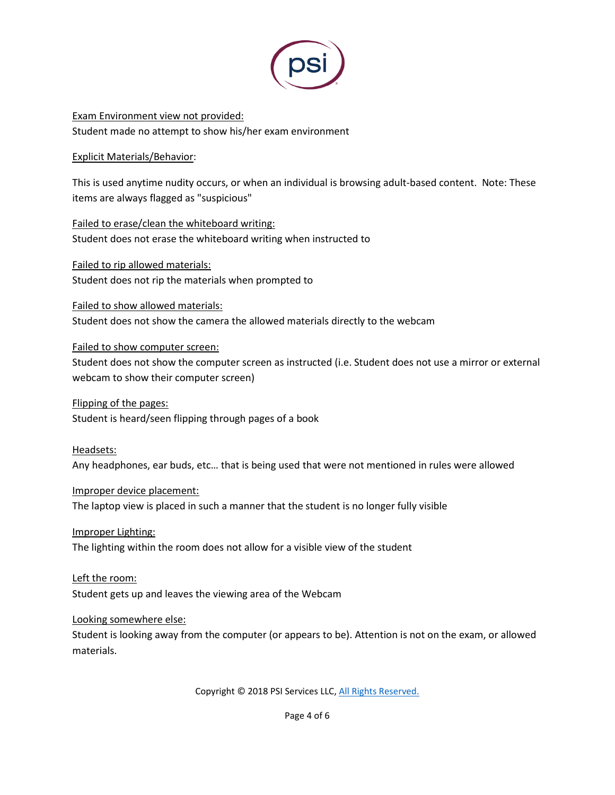

Exam Environment view not provided: Student made no attempt to show his/her exam environment

#### Explicit Materials/Behavior:

This is used anytime nudity occurs, or when an individual is browsing adult-based content. Note: These items are always flagged as "suspicious"

Failed to erase/clean the whiteboard writing: Student does not erase the whiteboard writing when instructed to

Failed to rip allowed materials: Student does not rip the materials when prompted to

Failed to show allowed materials: Student does not show the camera the allowed materials directly to the webcam

Failed to show computer screen:

Student does not show the computer screen as instructed (i.e. Student does not use a mirror or external webcam to show their computer screen)

Flipping of the pages: Student is heard/seen flipping through pages of a book

Headsets:

Any headphones, ear buds, etc… that is being used that were not mentioned in rules were allowed

#### Improper device placement:

The laptop view is placed in such a manner that the student is no longer fully visible

#### Improper Lighting:

The lighting within the room does not allow for a visible view of the student

Left the room:

Student gets up and leaves the viewing area of the Webcam

#### Looking somewhere else:

Student is looking away from the computer (or appears to be). Attention is not on the exam, or allowed materials.

Copyright © 2018 PSI Services LLC, [All Rights Reserved.](http://www.softwaresecure.com/privacy-statement/)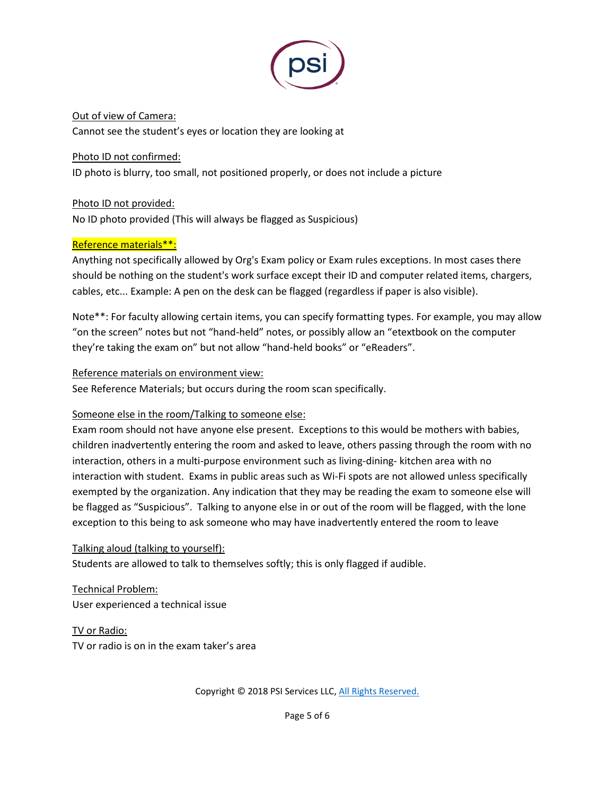

Out of view of Camera: Cannot see the student's eyes or location they are looking at

Photo ID not confirmed:

ID photo is blurry, too small, not positioned properly, or does not include a picture

Photo ID not provided:

No ID photo provided (This will always be flagged as Suspicious)

#### Reference materials\*\*:

Anything not specifically allowed by Org's Exam policy or Exam rules exceptions. In most cases there should be nothing on the student's work surface except their ID and computer related items, chargers, cables, etc... Example: A pen on the desk can be flagged (regardless if paper is also visible).

Note\*\*: For faculty allowing certain items, you can specify formatting types. For example, you may allow "on the screen" notes but not "hand-held" notes, or possibly allow an "etextbook on the computer they're taking the exam on" but not allow "hand-held books" or "eReaders".

#### Reference materials on environment view:

See Reference Materials; but occurs during the room scan specifically.

#### Someone else in the room/Talking to someone else:

Exam room should not have anyone else present. Exceptions to this would be mothers with babies, children inadvertently entering the room and asked to leave, others passing through the room with no interaction, others in a multi-purpose environment such as living-dining- kitchen area with no interaction with student. Exams in public areas such as Wi-Fi spots are not allowed unless specifically exempted by the organization. Any indication that they may be reading the exam to someone else will be flagged as "Suspicious". Talking to anyone else in or out of the room will be flagged, with the lone exception to this being to ask someone who may have inadvertently entered the room to leave

#### Talking aloud (talking to yourself):

Students are allowed to talk to themselves softly; this is only flagged if audible.

Technical Problem: User experienced a technical issue

TV or Radio: TV or radio is on in the exam taker's area

Copyright © 2018 PSI Services LLC, [All Rights Reserved.](http://www.softwaresecure.com/privacy-statement/)

Page 5 of 6